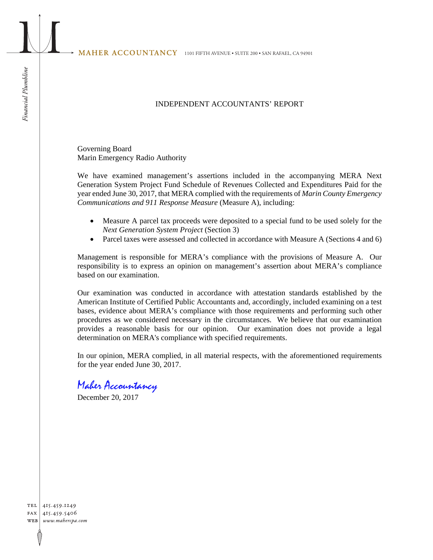## INDEPENDENT ACCOUNTANTS' REPORT

Governing Board Marin Emergency Radio Authority

We have examined management's assertions included in the accompanying MERA Next Generation System Project Fund Schedule of Revenues Collected and Expenditures Paid for the year ended June 30, 2017, that MERA complied with the requirements of *Marin County Emergency Communications and 911 Response Measure* (Measure A), including:

- Measure A parcel tax proceeds were deposited to a special fund to be used solely for the *Next Generation System Project* (Section 3)
- Parcel taxes were assessed and collected in accordance with Measure A (Sections 4 and 6)

Management is responsible for MERA's compliance with the provisions of Measure A. Our responsibility is to express an opinion on management's assertion about MERA's compliance based on our examination.

Our examination was conducted in accordance with attestation standards established by the American Institute of Certified Public Accountants and, accordingly, included examining on a test bases, evidence about MERA's compliance with those requirements and performing such other procedures as we considered necessary in the circumstances. We believe that our examination provides a reasonable basis for our opinion. Our examination does not provide a legal determination on MERA's compliance with specified requirements.

In our opinion, MERA complied, in all material respects, with the aforementioned requirements for the year ended June 30, 2017.

## Maher Accountancy

December 20, 2017

TEL 415.459.1249 FAX 415.459.5406 WEB www.mahercpa.com